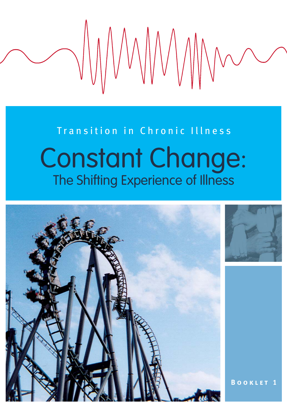# WWWWWW

# Transition in Chronic Illness Constant Change: The Shifting Experience of Illness

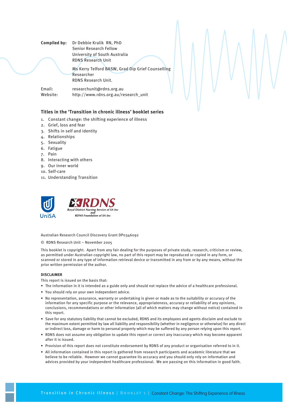**Compiled by:** Dr Debbie Kralik RN, PhD Senior Research Fellow University of South Australia RDNS Research Unit

> Ms Kerry Telford BASW, Grad Dip Grief Counselling Researcher RDNS Research Unit.

Email: researchunit@rdns.org.au Website: http://www.rdns.org.au/research\_unit

### **Titles in the 'Transition in chronic illness' booklet series**

- 1. Constant change: the shifting experience of illness
- 2. Grief, loss and fear
- 3. Shifts in self and identity
- 4. Relationships
- 5. Sexuality
- 6. Fatigue
- 7. Pain
- 8. Interacting with others
- 9. Our inner world
- 10. Self-care
- 11. Understanding Transition



Australian Research Council Discovery Grant DP0346092

© RDNS Research Unit – November 2005

This booklet is copyright. Apart from any fair dealing for the purposes of private study, research, criticism or review, as permitted under Australian copyright law, no part of this report may be reproduced or copied in any form, or scanned or stored in any type of information retrieval device or transmitted in any from or by any means, without the prior written permission of the author.

### **DISCLAIMER**

This report is issued on the basis that:

- The information in it is intended as a guide only and should not replace the advice of a healthcare professional.
- You should rely on your own independent advice.
- No representation, assurance, warranty or undertaking is given or made as to the suitability or accuracy of the information for any specific purpose or the relevance, appropriateness, accuracy or reliability of any opinions, conclusions, recommendations or other information (all of which matters may change without notice) contained in this report.
- Save for any statutory liability that cannot be excluded, RDNS and its employees and agents disclaim and exclude to the maximum extent permitted by law all liability and responsibility (whether in negligence or otherwise) for any direct or indirect loss, damage or harm to personal property which may be suffered by any person relying upon this report.
- RDNS does not assume any obligation to update this report or correct any inaccuracy which may become apparent after it is issued.
- Provision of this report does not constitute endorsement by RDNS of any product or organisation referred to in it.
- All information contained in this report is gathered from research participants and academic literature that we believe to be reliable. However we cannot guarantee its accuracy and you should only rely on information and advices provided by your independent healthcare professional. We are passing on this information in good faith.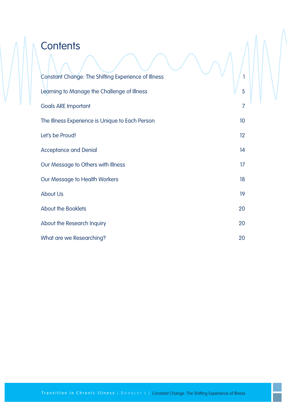# **Contents**

 $\overline{\phantom{a}}$ 

| Constant Change: The Shifting Experience of Illness | 1               |
|-----------------------------------------------------|-----------------|
| Learning to Manage the Challenge of Illness         | 5               |
| <b>Goals ARE Important</b>                          | 7               |
| The Illness Experience is Unique to Each Person     | 10 <sup>°</sup> |
| Let's be Proud!                                     | 12 <sup>°</sup> |
| <b>Acceptance and Denial</b>                        | 14              |
| Our Message to Others with Illness                  | 17              |
| Our Message to Health Workers                       | 18              |
| <b>About Us</b>                                     | 19              |
| <b>About the Booklets</b>                           | 20              |
| About the Research Inquiry                          | 20              |
| <b>What are we Researching?</b>                     | 20              |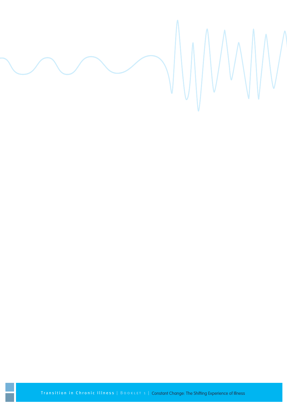

Transition in Chronic Illness | Booklet 1 | Constant Change: The Shifting Experience of Illness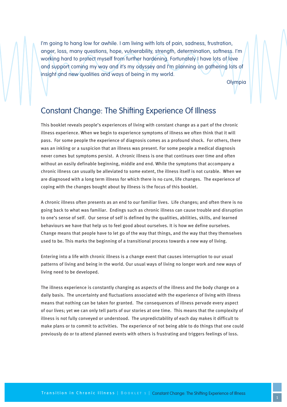I'm going to hang low for awhile. I am living with lots of pain, sadness, frustration, anger, loss, many questions, hope, vulnerability, strength, determination, softness. I'm working hard to protect myself from further hardening. Fortunately I have lots of love and support coming my way and it's my odyssey and I'm planning on gathering lots of insight and new qualities and ways of being in my world.

Olympia

# Constant Change: The Shifting Experience Of Illness

This booklet reveals people's experiences of living with constant change as a part of the chronic illness experience. When we begin to experience symptoms of illness we often think that it will pass. For some people the experience of diagnosis comes as a profound shock. For others, there was an inkling or a suspicion that an illness was present. For some people a medical diagnosis never comes but symptoms persist. A chronic illness is one that continues over time and often without an easily definable beginning, middle and end. While the symptoms that accompany a chronic illness can usually be alleviated to some extent, the illness itself is not curable. When we are diagnosed with a long term illness for which there is no cure, life changes. The experience of coping with the changes bought about by illness is the focus of this booklet.

A chronic illness often presents as an end to our familiar lives. Life changes; and often there is no going back to what was familiar. Endings such as chronic illness can cause trouble and disruption to one's sense of self. Our sense of self is defined by the qualities, abilities, skills, and learned behaviours we have that help us to feel good about ourselves. It is how we define ourselves. Change means that people have to let go of the way that things, and the way that they themselves used to be. This marks the beginning of a transitional process towards a new way of living.

Entering into a life with chronic illness is a change event that causes interruption to our usual patterns of living and being in the world. Our usual ways of living no longer work and new ways of living need to be developed.

The illness experience is constantly changing as aspects of the illness and the body change on a daily basis. The uncertainty and fluctuations associated with the experience of living with illness means that nothing can be taken for granted. The consequences of illness pervade every aspect of our lives; yet we can only tell parts of our stories at one time. This means that the complexity of illness is not fully conveyed or understood. The unpredictability of each day makes it difficult to make plans or to commit to activities. The experience of not being able to do things that one could previously do or to attend planned events with others is frustrating and triggers feelings of loss.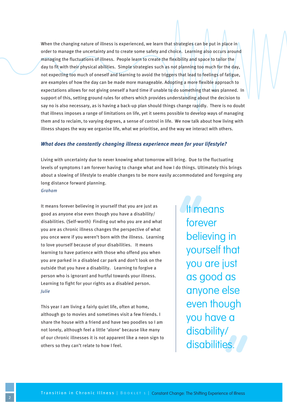When the changing nature of illness is experienced, we learn that strategies can be put in place in order to manage the uncertainty and to create some safety and choice. Learning also occurs around managing the fluctuations of illness. People learn to create the flexibility and space to tailor the day to fit with their physical abilities. Simple strategies such as not planning too much for the day, not expecting too much of oneself and learning to avoid the triggers that lead to feelings of fatigue, are examples of how the day can be made more manageable. Adopting a more flexible approach to expectations allows for not giving oneself a hard time if unable to do something that was planned. In support of this, setting ground rules for others which provides understanding about the decision to say no is also necessary, as is having a back-up plan should things change rapidly. There is no doubt that illness imposes a range of limitations on life, yet it seems possible to develop ways of managing them and to reclaim, to varying degrees, a sense of control in life. We now talk about how living with illness shapes the way we organise life, what we prioritise, and the way we interact with others.

### *What does the constantly changing illness experience mean for your lifestyle?*

Living with uncertainty due to never knowing what tomorrow will bring. Due to the fluctuating levels of symptoms I am forever having to change what and how I do things. Ultimately this brings about a slowing of lifestyle to enable changes to be more easily accommodated and foregoing any long distance forward planning.

*Graham*

It means forever believing in yourself that you are just as good as anyone else even though you have a disability/ disabilities. (Self-worth) Finding out who you are and what you are as chronic illness changes the perspective of what you once were if you weren't born with the illness. Learning to love yourself because of your disabilities. It means learning to have patience with those who offend you when you are parked in a disabled car park and don't look on the outside that you have a disability. Learning to forgive a person who is ignorant and hurtful towards your illness. Learning to fight for your rights as a disabled person. *Julie* 

This year I am living a fairly quiet life, often at home, although go to movies and sometimes visit a few friends. I share the house with a friend and have two poodles so I am not lonely, although feel a little 'alone' because like many of our chronic illnesses it is not apparent like a neon sign to others so they can't relate to how I feel.

It means forever believing in yourself that you are just as good as anyone else even though you have a disability/ disabilities.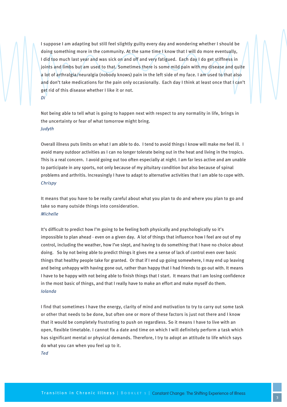I suppose I am adapting but still feel slightly guilty every day and wondering whether I should be doing something more in the community. At the same time I know that I will do more eventually, I did too much last year and was sick on and off and very fatigued. Each day I do get stiffness in joints and limbs but am used to that. Sometimes there is some mild pain with my disease and quite a lot of arthralgia/neuralgia (nobody knows) pain in the left side of my face. I am used to that also and don't take medications for the pain only occasionally. Each day I think at least once that I can't get rid of this disease whether I like it or not. *Di*

Not being able to tell what is going to happen next with respect to any normality in life, brings in the uncertainty or fear of what tomorrow might bring. *Judyth*

Overall illness puts limits on what I am able to do. I tend to avoid things I know will make me feel ill. I avoid many outdoor activities as I can no longer tolerate being out in the heat and living in the tropics. This is a real concern. I avoid going out too often especially at night. I am far less active and am unable to participate in any sports, not only because of my pituitary condition but also because of spinal problems and arthritis. Increasingly I have to adapt to alternative activities that I am able to cope with. *Chrispy*

It means that you have to be really careful about what you plan to do and where you plan to go and take so many outside things into consideration. *Michelle*

It's difficult to predict how I'm going to be feeling both physically and psychologically so it's impossible to plan ahead - even on a given day. A lot of things that influence how I feel are out of my control, including the weather, how I've slept, and having to do something that I have no choice about doing. So by not being able to predict things it gives me a sense of lack of control even over basic things that healthy people take for granted. Or that if I end up going somewhere, I may end up leaving and being unhappy with having gone out, rather than happy that I had friends to go out with. It means I have to be happy with not being able to finish things that I start. It means that I am losing confidence in the most basic of things, and that I really have to make an effort and make myself do them. *Iolanda*

I find that sometimes I have the energy, clarity of mind and motivation to try to carry out some task or other that needs to be done, but often one or more of these factors is just not there and I know that it would be completely frustrating to push on regardless. So it means I have to live with an open, flexible timetable. I cannot fix a date and time on which I will definitely perform a task which has significant mental or physical demands. Therefore, I try to adopt an attitude to life which says do what you can when you feel up to it.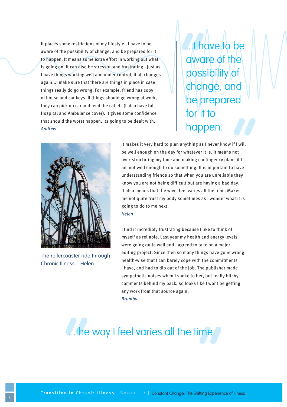It places some restrictions of my lifestyle - I have to be aware of the possibility of change, and be prepared for it to happen. It means some extra effort in working out what is going on. It can also be stressful and frustrating - just as I have things working well and under control, it all changes again...I make sure that there are things in place in case things really do go wrong. For example, friend has copy of house and car keys. If things should go wrong at work, they can pick up car and feed the cat etc (I also have full Hospital and Ambulance cover). It gives some confidence that should the worst happen, its going to be dealt with. *Andrew*

...I have to be aware of the possibility of change, and be prepared for it to happen.



The rollercoaster ride through Chronic Illness – Helen

It makes it very hard to plan anything as I never know if I will be well enough on the day for whatever it is. It means not over-structuring my time and making contingency plans if I am not well enough to do something. It is important to have understanding friends so that when you are unreliable they know you are not being difficult but are having a bad day. It also means that the way I feel varies all the time. Makes me not quite trust my body sometimes as I wonder what it is going to do to me next.

### *Helen*

I find it incredibly frustrating because I like to think of myself as reliable. Last year my health and energy levels were going quite well and I agreed to take on a major editing project. Since then so many things have gone wrong health-wise that I can barely cope with the commitments I have, and had to dip out of the job. The publisher made sympathetic noises when I spoke to her, but really bitchy comments behind my back, so looks like I wont be getting any work from that source again. *Brumby*

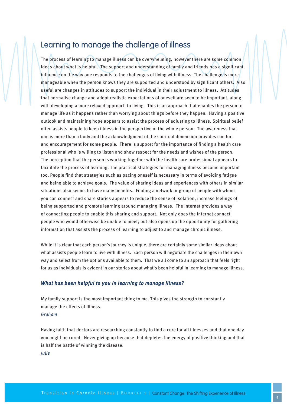# Learning to manage the challenge of illness

The process of learning to manage illness can be overwhelming, however there are some common ideas about what is helpful. The support and understanding of family and friends has a significant influence on the way one responds to the challenges of living with illness. The challenge is more manageable when the person knows they are supported and understood by significant others. Also useful are changes in attitudes to support the individual in their adjustment to illness. Attitudes that normalise change and adopt realistic expectations of oneself are seen to be important, along with developing a more relaxed approach to living. This is an approach that enables the person to manage life as it happens rather than worrying about things before they happen. Having a positive outlook and maintaining hope appears to assist the process of adjusting to illness. Spiritual belief often assists people to keep illness in the perspective of the whole person. The awareness that one is more than a body and the acknowledgment of the spiritual dimension provides comfort and encouragement for some people. There is support for the importance of finding a health care professional who is willing to listen and show respect for the needs and wishes of the person. The perception that the person is working together with the health care professional appears to facilitate the process of learning. The practical strategies for managing illness become important too. People find that strategies such as pacing oneself is necessary in terms of avoiding fatigue and being able to achieve goals. The value of sharing ideas and experiences with others in similar situations also seems to have many benefits. Finding a network or group of people with whom you can connect and share stories appears to reduce the sense of isolation, increase feelings of being supported and promote learning around managing illness. The Internet provides a way of connecting people to enable this sharing and support. Not only does the Internet connect people who would otherwise be unable to meet, but also opens up the opportunity for gathering information that assists the process of learning to adjust to and manage chronic illness.

While it is clear that each person's journey is unique, there are certainly some similar ideas about what assists people learn to live with illness. Each person will negotiate the challenges in their own way and select from the options available to them. That we all come to an approach that feels right for us as individuals is evident in our stories about what's been helpful in learning to manage illness.

### *What has been helpful to you in learning to manage illness?*

My family support is the most important thing to me. This gives the strength to constantly manage the effects of illness. *Graham*

Having faith that doctors are researching constantly to find a cure for all illnesses and that one day you might be cured. Never giving up because that depletes the energy of positive thinking and that is half the battle of winning the disease.

*Julie*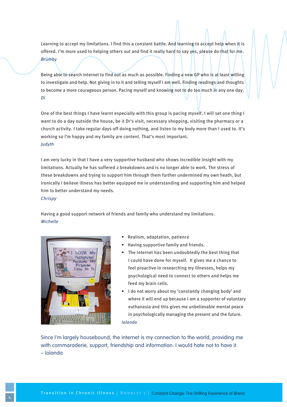Learning to accept my limitations. I find this a constant battle. And learning to accept help when it is offered. I'm more used to helping others out and find it really hard to say yes, please do that for me. *Brumby*

Being able to search internet to find out as much as possible. Finding a new GP who is at least willing to investigate and help. Not giving in to it and telling myself I am well. Finding readings and thoughts to become a more courageous person. Pacing myself and knowing not to do too much in any one day. *Di*

One of the best things I have learnt especially with this group is pacing myself. I will set one thing I want to do a day outside the house, be it Dr's visit, necessary shopping, visiting the pharmacy or a church activity. I take regular days off doing nothing, and listen to my body more than I used to. It's working so I'm happy and my family are content. That's most important. *Judyth*

I am very lucky in that I have a very supportive husband who shows incredible insight with my limitations. Actually he has suffered 2 breakdowns and is no longer able to work. The stress of these breakdowns and trying to support him through them further undermined my own heath, but ironically I believe illness has better equipped me in understanding and supporting him and helped him to better understand my needs.

*Chrispy*

Having a good support network of friends and family who understand my limitations. *Michelle*



- Realism, adaptation, patience
- Having supportive family and friends.
- The Internet has been undoubtedly the best thing that I could have done for myself. It gives me a chance to feel proactive in researching my illnesses, helps my psychological need to connect to others and helps me feed my brain cells.
- I do not worry about my 'constantly changing body' and where it will end up because I am a supporter of voluntary euthanasia and this gives me unbelievable mental peace in psychologically managing the present and the future.

*Iolanda*

Since I'm largely housebound, the internet is my connection to the world, providing me with commaraderie, support, friendship and information. I would hate not to have it. – Iolanda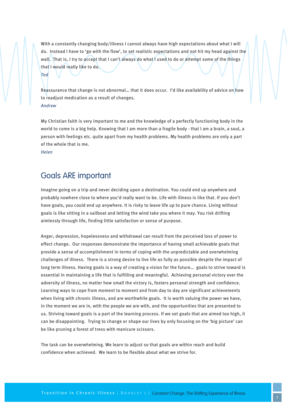With a constantly changing body/illness I cannot always have high expectations about what I will do. Instead I have to 'go with the flow', to set realistic expectations and not hit my head against the wall. That is, I try to accept that I can't always do what I used to do or attempt some of the things that I would really like to do.

Reassurance that change is not abnormal… that it does occur. I'd like availability of advice on how to readjust medication as a result of changes. *Andrew*

My Christian faith is very important to me and the knowledge of a perfectly functioning body in the world to come is a big help. Knowing that I am more than a fragile body - that I am a brain, a soul, a person with feelings etc. quite apart from my health problems. My health problems are only a part of the whole that is me.

*Helen*

*Ted*

# Goals ARE important

Imagine going on a trip and never deciding upon a destination. You could end up anywhere and probably nowhere close to where you'd really want to be. Life with illness is like that. If you don't have goals, you could end up anywhere. It is risky to leave life up to pure chance. Living without goals is like sitting in a sailboat and letting the wind take you where it may. You risk drifting aimlessly through life, finding little satisfaction or sense of purpose.

Anger, depression, hopelessness and withdrawal can result from the perceived loss of power to effect change. Our responses demonstrate the importance of having small achievable goals that provide a sense of accomplishment in terms of coping with the unpredictable and overwhelming challenges of illness. There is a strong desire to live life as fully as possible despite the impact of long term illness. Having goals is a way of creating a vision for the future… goals to strive toward is essential in maintaining a life that is fulfilling and meaningful. Achieving personal victory over the adversity of illness, no matter how small the victory is, fosters personal strength and confidence. Learning ways to cope from moment to moment and from day to day are significant achievements when living with chronic illness, and are worthwhile goals. It is worth valuing the power we have, in the moment we are in, with the people we are with, and the opportunities that are presented to us. Striving toward goals is a part of the learning process. If we set goals that are aimed too high, it can be disappointing. Trying to change or shape our lives by only focusing on the 'big picture' can be like pruning a forest of tress with manicure scissors.

The task can be overwhelming. We learn to adjust so that goals are within reach and build confidence when achieved. We learn to be flexible about what we strive for.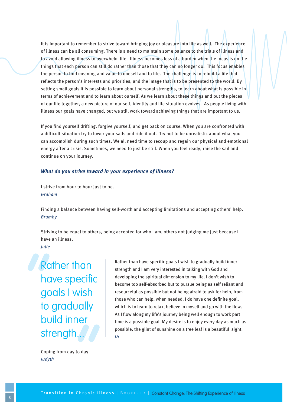It is important to remember to strive toward bringing joy or pleasure into life as well. The experience of illness can be all consuming. There is a need to maintain some balance to the trials of illness and to avoid allowing illness to overwhelm life. Illness becomes less of a burden when the focus is on the things that each person can still do rather than those that they can no longer do. This focus enables the person to find meaning and value to oneself and to life. The challenge is to rebuild a life that reflects the person's interests and priorities, and the image that is to be presented to the world. By setting small goals it is possible to learn about personal strengths, to learn about what is possible in terms of achievement and to learn about ourself. As we learn about these things and put the pieces of our life together, a new picture of our self, identity and life situation evolves. As people living with illness our goals have changed, but we still work toward achieving things that are important to us.

If you find yourself drifting, forgive yourself, and get back on course. When you are confronted with a difficult situation try to lower your sails and ride it out. Try not to be unrealistic about what you can accomplish during such times. We all need time to recoup and regain our physical and emotional energy after a crisis. Sometimes, we need to just be still. When you feel ready, raise the sail and continue on your journey.

### *What do you strive toward in your experience of illness?*

I strive from hour to hour just to be. *Graham*

Finding a balance between having self-worth and accepting limitations and accepting others' help. *Brumby*

Striving to be equal to others, being accepted for who I am, others not judging me just because I have an illness. *Julie*

Rather than have specific goals I wish to gradually build inner strength.

Coping from day to day. *Judyth*

Rather than have specific goals I wish to gradually build inner strength and I am very interested in talking with God and developing the spiritual dimension to my life. I don't wish to become too self-absorbed but to pursue being as self reliant and resourceful as possible but not being afraid to ask for help, from those who can help, when needed. I do have one definite goal, which is to learn to relax, believe in myself and go with the flow. As I flow along my life's journey being well enough to work part time is a possible goal. My desire is to enjoy every day as much as possible, the glint of sunshine on a tree leaf is a beautiful sight. *Di*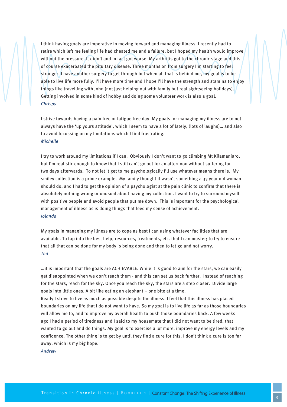I think having goals are imperative in moving forward and managing illness. I recently had to retire which left me feeling life had cheated me and a failure, but I hoped my health would improve without the pressure. It didn't and in fact got worse. My arthritis got to the chronic stage and this of course exacerbated the pituitary disease. Three months on from surgery I'm starting to feel stronger. I have another surgery to get through but when all that is behind me, my goal is to be able to live life more fully. I'll have more time and I hope I'll have the strength and stamina to enjoy things like travelling with John (not just helping out with family but real sightseeing holidays). Getting involved in some kind of hobby and doing some volunteer work is also a goal. *Chrispy*

I strive towards having a pain free or fatigue free day. My goals for managing my illness are to not always have the 'up yours attitude', which I seem to have a lot of lately, (lots of laughs)… and also to avoid focussing on my limitations which I find frustrating. *Michelle*

I try to work around my limitations if I can. Obviously I don't want to go climbing Mt Kilamanjaro, but I'm realistic enough to know that I still can't go out for an afternoon without suffering for two days afterwards. To not let it get to me psychologically I'll use whatever means there is. My smiley collection is a prime example. My family thought it wasn't something a 33 year old woman should do, and I had to get the opinion of a psychologist at the pain clinic to confirm that there is absolutely nothing wrong or unusual about having my collection. I want to try to surround myself with positive people and avoid people that put me down. This is important for the psychological management of illness as is doing things that feed my sense of achievement. *Iolanda*

My goals in managing my illness are to cope as best I can using whatever facilities that are available. To tap into the best help, resources, treatments, etc. that I can muster; to try to ensure that all that can be done for my body is being done and then to let go and not worry. *Ted*

…it is important that the goals are ACHIEVABLE. While it is good to aim for the stars, we can easily get disappointed when we don't reach them - and this can set us back further. Instead of reaching for the stars, reach for the sky. Once you reach the sky, the stars are a step closer. Divide large goals into little ones. A bit like eating an elephant – one bite at a time.

Really I strive to live as much as possible despite the illness. I feel that this illness has placed boundaries on my life that I do not want to have. So my goal is to live life as far as those boundaries will allow me to, and to improve my overall health to push those boundaries back. A few weeks ago I had a period of tiredness and I said to my housemate that I did not want to be tired, that I wanted to go out and do things. My goal is to exercise a lot more, improve my energy levels and my confidence. The other thing is to get by until they find a cure for this. I don't think a cure is too far away, which is my big hope.

*Andrew*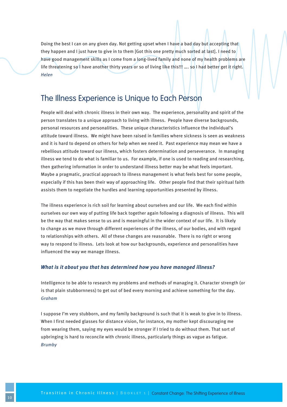Doing the best I can on any given day. Not getting upset when I have a bad day but accepting that they happen and I just have to give in to them [Got this one pretty much sorted at last]. I need to have good management skills as I come from a long-lived family and none of my health problems are life threatening so I have another thirty years or so of living like this!!! …. so I had better get it right. *Helen*

# The Illness Experience is Unique to Each Person

People will deal with chronic illness in their own way. The experience, personality and spirit of the person translates to a unique approach to living with illness. People have diverse backgrounds, personal resources and personalities. These unique characteristics influence the individual's attitude toward illness. We might have been raised in families where sickness is seen as weakness and it is hard to depend on others for help when we need it. Past experience may mean we have a rebellious attitude toward our illness, which fosters determination and perseverance. In managing illness we tend to do what is familiar to us. For example, if one is used to reading and researching, then gathering information in order to understand illness better may be what feels important. Maybe a pragmatic, practical approach to illness management is what feels best for some people, especially if this has been their way of approaching life. Other people find that their spiritual faith assists them to negotiate the hurdles and learning opportunities presented by illness.

The illness experience is rich soil for learning about ourselves and our life. We each find within ourselves our own way of putting life back together again following a diagnosis of illness. This will be the way that makes sense to us and is meaningful in the wider context of our life. It is likely to change as we move through different experiences of the illness, of our bodies, and with regard to relationships with others. All of these changes are reasonable. There is no right or wrong way to respond to illness. Lets look at how our backgrounds, experience and personalities have influenced the way we manage illness.

### *What is it about you that has determined how you have managed illness?*

Intelligence to be able to research my problems and methods of managing it. Character strength (or is that plain stubbornness) to get out of bed every morning and achieve something for the day. *Graham*

I suppose I'm very stubborn, and my family background is such that it is weak to give in to illness. When I first needed glasses for distance vision, for instance, my mother kept discouraging me from wearing them, saying my eyes would be stronger if I tried to do without them. That sort of upbringing is hard to reconcile with chronic illness, particularly things as vague as fatigue. *Brumby*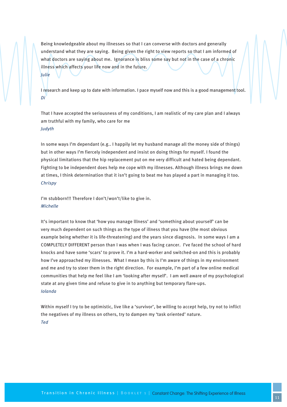Being knowledgeable about my illnesses so that I can converse with doctors and generally understand what they are saying. Being given the right to view reports so that I am informed of what doctors are saying about me. Ignorance is bliss some say but not in the case of a chronic illness which affects your life now and in the future.

I research and keep up to date with information. I pace myself now and this is a good management tool. *Di*

That I have accepted the seriousness of my conditions, I am realistic of my care plan and I always am truthful with my family, who care for me *Judyth*

In some ways I'm dependant (e.g.. I happily let my husband manage all the money side of things) but in other ways I'm fiercely independent and insist on doing things for myself. I found the physical limitations that the hip replacement put on me very difficult and hated being dependant. Fighting to be independent does help me cope with my illnesses. Although illness brings me down at times, I think determination that it isn't going to beat me has played a part in managing it too. *Chrispy*

I'm stubborn!!! Therefore I don't/won't/like to give in. *Michelle*

*Julie* 

It's important to know that 'how you manage lllness' and 'something about yourself' can be very much dependent on such things as the type of illness that you have (the most obvious example being whether it is life-threatening) and the years since diagnosis. In some ways I am a COMPLETELY DIFFERENT person than I was when I was facing cancer. I've faced the school of hard knocks and have some 'scars' to prove it. I'm a hard-worker and switched-on and this is probably how I've approached my illnesses. What I mean by this is I'm aware of things in my environment and me and try to steer them in the right direction. For example, I'm part of a few online medical communities that help me feel like I am 'looking after myself'. I am well aware of my psychological state at any given time and refuse to give in to anything but temporary flare-ups. *Iolanda*

Within myself I try to be optimistic, live like a 'survivor', be willing to accept help, try not to inflict the negatives of my illness on others, try to dampen my 'task oriented' nature. *Ted*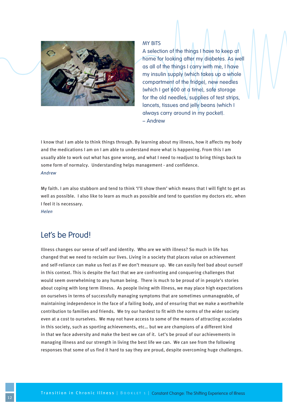

### MY BITS

A selection of the things I have to keep at home for looking after my diabetes. As well as all of the things I carry with me, I have my insulin supply (which takes up a whole compartment of the fridge), new needles (which I get 600 at a time), safe storage for the old needles, supplies of test strips, lancets, tissues and jelly beans (which I always carry around in my pocket). – Andrew

I know that I am able to think things through. By learning about my illness, how it affects my body and the medications I am on I am able to understand more what is happening. From this I am usually able to work out what has gone wrong, and what I need to readjust to bring things back to some form of normalcy. Understanding helps management - and confidence. *Andrew*

My faith. I am also stubborn and tend to think 'I'll show them' which means that I will fight to get as well as possible. I also like to learn as much as possible and tend to question my doctors etc. when I feel it is necessary.

*Helen*

# Let's be Proud!

Illness changes our sense of self and identity. Who are we with illness? So much in life has changed that we need to reclaim our lives. Living in a society that places value on achievement and self-reliance can make us feel as if we don't measure up. We can easily feel bad about ourself in this context. This is despite the fact that we are confronting and conquering challenges that would seem overwhelming to any human being. There is much to be proud of in people's stories about coping with long term illness. As people living with illness, we may place high expectations on ourselves in terms of successfully managing symptoms that are sometimes unmanageable, of maintaining independence in the face of a failing body, and of ensuring that we make a worthwhile contribution to families and friends. We try our hardest to fit with the norms of the wider society even at a cost to ourselves. We may not have access to some of the means of attracting accolades in this society, such as sporting achievements, etc… but we are champions of a different kind in that we face adversity and make the best we can of it. Let's be proud of our achievements in managing illness and our strength in living the best life we can. We can see from the following responses that some of us find it hard to say they are proud, despite overcoming huge challenges.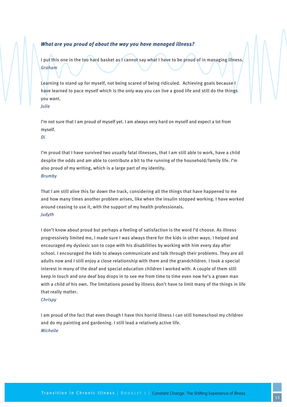### *What are you proud of about the way you have managed illness?*

I put this one in the too hard basket as I cannot say what I have to be proud of in managing illness. *Graham*

Learning to stand up for myself, not being scared of being ridiculed. Achieving goals because I have learned to pace myself which is the only way you can live a good life and still do the things you want.

### *Julie*

I'm not sure that I am proud of myself yet. I am always very hard on myself and expect a lot from myself.

### *Di*

I'm proud that I have survived two usually fatal illnesses, that I am still able to work, have a child despite the odds and am able to contribute a bit to the running of the household/family life. I'm also proud of my writing, which is a large part of my identity. *Brumby*

That I am still alive this far down the track, considering all the things that have happened to me and how many times another problem arises, like when the insulin stopped working. I have worked around ceasing to use it, with the support of my health professionals. *Judyth*

I don't know about proud but perhaps a feeling of satisfaction is the word I'd choose. As illness progressively limited me, I made sure I was always there for the kids in other ways. I helped and encouraged my dyslexic son to cope with his disabilities by working with him every day after school. I encouraged the kids to always communicate and talk through their problems. They are all adults now and I still enjoy a close relationship with them and the grandchildren. I took a special interest in many of the deaf and special education children I worked with. A couple of them still keep in touch and one deaf boy drops in to see me from time to time even now he's a grown man with a child of his own. The limitations posed by illness don't have to limit many of the things in life that really matter.

### *Chrispy*

I am proud of the fact that even though I have this horrid illness I can still homeschool my children and do my painting and gardening. I still lead a relatively active life. *Michelle*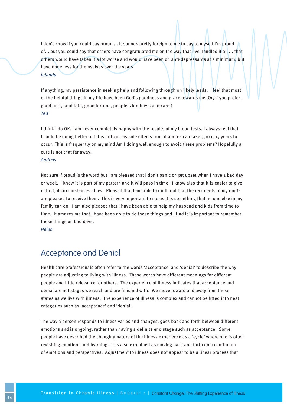I don't know if you could say proud ... it sounds pretty foreign to me to say to myself I'm proud of... but you could say that others have congratulated me on the way that I've handled it all ... that others would have taken it a lot worse and would have been on anti-depressants at a minimum, but have done less for themselves over the years. *Iolanda*

If anything, my persistence in seeking help and following through on likely leads. I feel that most of the helpful things in my life have been God's goodness and grace towards me (Or, if you prefer, good luck, kind fate, good fortune, people's kindness and care.) *Ted*

I think I do OK. I am never completely happy with the results of my blood tests. I always feel that I could be doing better but it is difficult as side effects from diabetes can take 5,10 or15 years to occur. This is frequently on my mind Am I doing well enough to avoid these problems? Hopefully a cure is not that far away.

### *Andrew*

Not sure if proud is the word but I am pleased that I don't panic or get upset when I have a bad day or week. I know it is part of my pattern and it will pass in time. I know also that it is easier to give in to it, if circumstances allow. Pleased that I am able to quilt and that the recipients of my quilts are pleased to receive them. This is very important to me as it is something that no one else in my family can do. I am also pleased that I have been able to help my husband and kids from time to time. It amazes me that I have been able to do these things and I find it is important to remember these things on bad days.

*Helen*

# Acceptance and Denial

Health care professionals often refer to the words 'acceptance' and 'denial' to describe the way people are adjusting to living with illness. These words have different meanings for different people and little relevance for others. The experience of illness indicates that acceptance and denial are not stages we reach and are finished with. We move toward and away from these states as we live with illness. The experience of illness is complex and cannot be fitted into neat categories such as 'acceptance' and 'denial'.

The way a person responds to illness varies and changes, goes back and forth between different emotions and is ongoing, rather than having a definite end stage such as acceptance. Some people have described the changing nature of the illness experience as a 'cycle' where one is often revisiting emotions and learning. It is also explained as moving back and forth on a continuum of emotions and perspectives. Adjustment to illness does not appear to be a linear process that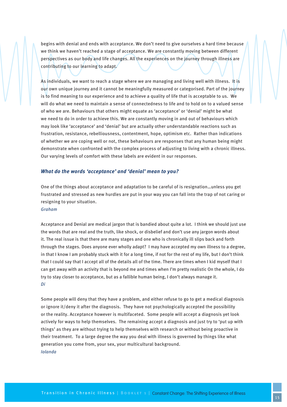begins with denial and ends with acceptance. We don't need to give ourselves a hard time because we think we haven't reached a stage of acceptance. We are constantly moving between different perspectives as our body and life changes. All the experiences on the journey through illness are contributing to our learning to adapt.

As individuals, we want to reach a stage where we are managing and living well with illness. It is our own unique journey and it cannot be meaningfully measured or categorised. Part of the journey is to find meaning to our experience and to achieve a quality of life that is acceptable to us. We will do what we need to maintain a sense of connectedness to life and to hold on to a valued sense of who we are. Behaviours that others might equate as 'acceptance' or 'denial' might be what we need to do in order to achieve this. We are constantly moving in and out of behaviours which may look like 'acceptance' and 'denial' but are actually other understandable reactions such as frustration, resistance, rebelliousness, contentment, hope, optimism etc. Rather than indications of whether we are coping well or not, these behaviours are responses that any human being might demonstrate when confronted with the complex process of adjusting to living with a chronic illness. Our varying levels of comfort with these labels are evident in our responses.

### *What do the words 'acceptance' and 'denial' mean to you?*

One of the things about acceptance and adaptation to be careful of is resignation…unless you get frustrated and stressed as new hurdles are put in your way you can fall into the trap of not caring or resigning to your situation.

### *Graham*

Acceptance and Denial are medical jargon that is bandied about quite a lot. I think we should just use the words that are real and the truth, like shock, or disbelief and don't use any jargon words about it. The real issue is that there are many stages and one who is chronically ill slips back and forth through the stages. Does anyone ever wholly adapt? I may have accepted my own illness to a degree, in that I know I am probably stuck with it for a long time, if not for the rest of my life, but I don't think that I could say that I accept all of the details all of the time. There are times when I kid myself that I can get away with an activity that is beyond me and times when I'm pretty realistic On the whole, I do try to stay closer to acceptance, but as a fallible human being, I don't always manage it. *Di*

Some people will deny that they have a problem, and either refuse to go to get a medical diagnosis or ignore it/deny it after the diagnosis. They have not psychologically accepted the possibility or the reality. Acceptance however is multifaceted. Some people will accept a diagnosis yet look actively for ways to help themselves. The remaining accept a diagnosis and just try to 'put up with things' as they are without trying to help themselves with research or without being proactive in their treatment. To a large degree the way you deal with illness is governed by things like what generation you come from, your sex, your multicultural background. *Iolanda*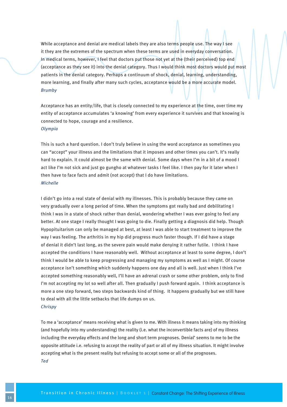While acceptance and denial are medical labels they are also terms people use. The way I see it they are the extremes of the spectrum when these terms are used in everyday conversation. In medical terms, however, I feel that doctors put those not yet at the (their perceived) top end (acceptance as they see it) into the denial category. Thus I would think most doctors would put most patients in the denial category. Perhaps a continuum of shock, denial, learning, understanding, more learning, and finally after many such cycles, acceptance would be a more accurate model. *Brumby*

Acceptance has an entity/life, that is closely connected to my experience at the time, over time my entity of acceptance accumulates 'a knowing' from every experience it survives and that knowing is connected to hope, courage and a resilience. *Olympia*

This is such a hard question. I don't truly believe in using the word acceptance as sometimes you can "accept" your illness and the limitations that it imposes and other times you can't. It's really hard to explain. It could almost be the same with denial. Some days when I'm in a bit of a mood I act like I'm not sick and just go gungho at whatever tasks I feel like. I then pay for it later when I then have to face facts and admit (not accept) that I do have limitations. *Michelle*

I didn't go into a real state of denial with my illnesses. This is probably because they came on very gradually over a long period of time. When the symptoms got really bad and debilitating I think I was in a state of shock rather than denial, wondering whether I was ever going to feel any better. At one stage I really thought I was going to die. Finally getting a diagnosis did help. Though Hypopituitarism can only be managed at best, at least I was able to start treatment to improve the way I was feeling. The arthritis in my hip did progress much faster though. If I did have a stage of denial it didn't last long, as the severe pain would make denying it rather futile. I think I have accepted the conditions I have reasonably well. Without acceptance at least to some degree, I don't think I would be able to keep progressing and managing my symptoms as well as I might. Of course acceptance isn't something which suddenly happens one day and all is well. Just when I think I've accepted something reasonably well, I'll have an adrenal crash or some other problem, only to find I'm not accepting my lot so well after all. Then gradually I push forward again. I think acceptance is more a one step forward, two steps backwards kind of thing. It happens gradually but we still have to deal with all the little setbacks that life dumps on us.

### *Chrispy*

To me a 'acceptance' means receiving what is given to me. With illness it means taking into my thinking (and hopefully into my understanding) the reality (i.e. what the inconvertible facts are) of my illness including the everyday effects and the long and short term prognoses. Denial' seems to me to be the opposite attitude i.e. refusing to accept the reality of part or all of my illness situation. It might involve accepting what is the present reality but refusing to accept some or all of the prognoses. *Ted*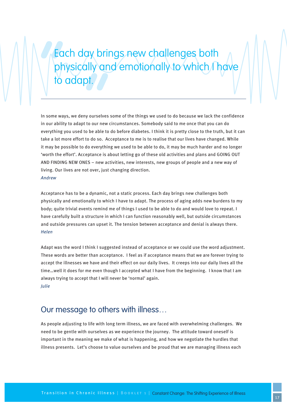# Each day brings new challenges both physically and emotionally to which I have to adapt.

In some ways, we deny ourselves some of the things we used to do because we lack the confidence in our ability to adapt to our new circumstances. Somebody said to me once that you can do everything you used to be able to do before diabetes. I think it is pretty close to the truth, but it can take a lot more effort to do so. Acceptance to me is to realise that our lives have changed. While it may be possible to do everything we used to be able to do, it may be much harder and no longer 'worth the effort'. Acceptance is about letting go of these old activities and plans and GOING OUT AND FINDING NEW ONES – new activities, new interests, new groups of people and a new way of living. Our lives are not over, just changing direction. *Andrew*

Acceptance has to be a dynamic, not a static process. Each day brings new challenges both physically and emotionally to which I have to adapt. The process of aging adds new burdens to my body; quite trivial events remind me of things I used to be able to do and would love to repeat. I have carefully built a structure in which I can function reasonably well, but outside circumstances and outside pressures can upset it. The tension between acceptance and denial is always there. *Helen*

Adapt was the word I think I suggested instead of acceptance or we could use the word adjustment. These words are better than acceptance. I feel as if acceptance means that we are forever trying to accept the illnesses we have and their effect on our daily lives. It creeps into our daily lives all the time…well it does for me even though I accepted what I have from the beginning. I know that I am always trying to accept that I will never be 'normal' again. *Julie*

# Our message to others with illness…

As people adjusting to life with long term illness, we are faced with overwhelming challenges. We need to be gentle with ourselves as we experience the journey. The attitude toward oneself is important in the meaning we make of what is happening, and how we negotiate the hurdles that illness presents. Let's choose to value ourselves and be proud that we are managing illness each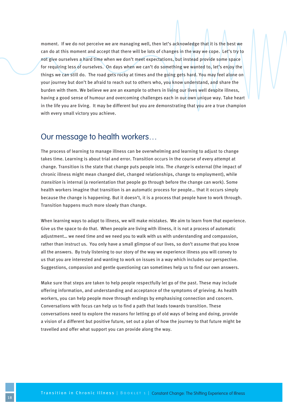moment. If we do not perceive we are managing well, then let's acknowledge that it is the best we can do at this moment and accept that there will be lots of changes in the way we cope. Let's try to not give ourselves a hard time when we don't meet expectations, but instead provide some space for requiring less of ourselves. On days when we can't do something we wanted to, let's enjoy the things we can still do. The road gets rocky at times and the going gets hard. You may feel alone on your journey but don't be afraid to reach out to others who, you know understand, and share the burden with them. We believe we are an example to others in living our lives well despite illness, having a good sense of humour and overcoming challenges each in our own unique way. Take heart in the life you are living. It may be different but you are demonstrating that you are a true champion with every small victory you achieve.

## Our message to health workers…

The process of learning to manage illness can be overwhelming and learning to adjust to change takes time. Learning is about trial and error. Transition occurs in the course of every attempt at change. Transition is the state that change puts people into. The *change* is external (the impact of chronic illness might mean changed diet, changed relationships, change to employment), while transition is internal (a reorientation that people go through before the change can work). Some health workers imagine that transition is an automatic process for people… that it occurs simply because the change is happening. But it doesn't, it is a process that people have to work through. Transition happens much more slowly than change.

When learning ways to adapt to illness, we will make mistakes. We aim to learn from that experience. Give us the space to do that. When people are living with illness, it is not a process of automatic adjustment… we need time and we need you to walk with us with understanding and compassion, rather than instruct us. You only have a small glimpse of our lives, so don't assume that you know all the answers. By truly listening to our story of the way we experience illness you will convey to us that you are interested and wanting to work on issues in a way which includes our perspective. Suggestions, compassion and gentle questioning can sometimes help us to find our own answers.

Make sure that steps are taken to help people respectfully let go of the past. These may include offering information, and understanding and acceptance of the symptoms of grieving. As health workers, you can help people move through endings by emphasising connection and concern. Conversations with focus can help us to find a path that leads towards transition. These conversations need to explore the reasons for letting go of old ways of being and doing, provide a vision of a different but positive future, set out a plan of how the journey to that future might be travelled and offer what support you can provide along the way.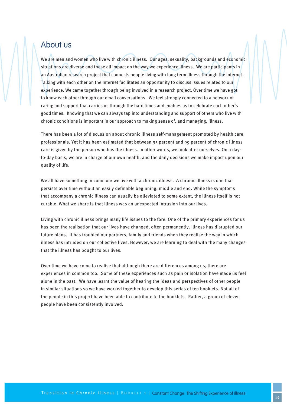# About us

We are men and women who live with chronic illness. Our ages, sexuality, backgrounds and economic situations are diverse and these all impact on the way we experience illness. We are participants in an Australian research project that connects people living with long term illness through the Internet. Talking with each other on the Internet facilitates an opportunity to discuss issues related to our experience. We came together through being involved in a research project. Over time we have got to know each other through our email conversations. We feel strongly connected to a network of caring and support that carries us through the hard times and enables us to celebrate each other's good times. Knowing that we can always tap into understanding and support of others who live with chronic conditions is important in our approach to making sense of, and managing, illness.

There has been a lot of discussion about chronic illness self-management promoted by health care professionals. Yet it has been estimated that between 95 percent and 99 percent of chronic illness care is given by the person who has the illness. In other words, we look after ourselves. On a dayto-day basis, we are in charge of our own health, and the daily decisions we make impact upon our quality of life.

We all have something in common: we live with a chronic illness. A chronic illness is one that persists over time without an easily definable beginning, middle and end. While the symptoms that accompany a chronic illness can usually be alleviated to some extent, the illness itself is not curable. What we share is that illness was an unexpected intrusion into our lives.

Living with chronic illness brings many life issues to the fore. One of the primary experiences for us has been the realisation that our lives have changed, often permanently. Illness has disrupted our future plans. It has troubled our partners, family and friends when they realise the way in which illness has intruded on our collective lives. However, we are learning to deal with the many changes that the illness has bought to our lives.

Over time we have come to realise that although there are differences among us, there are experiences in common too. Some of these experiences such as pain or isolation have made us feel alone in the past. We have learnt the value of hearing the ideas and perspectives of other people in similar situations so we have worked together to develop this series of ten booklets. Not all of the people in this project have been able to contribute to the booklets. Rather, a group of eleven people have been consistently involved.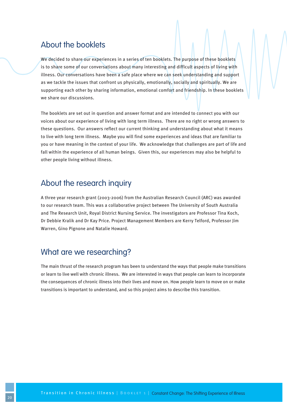# About the booklets

We decided to share our experiences in a series of ten booklets. The purpose of these booklets is to share some of our conversations about many interesting and difficult aspects of living with illness. Our conversations have been a safe place where we can seek understanding and support as we tackle the issues that confront us physically, emotionally, socially and spiritually. We are supporting each other by sharing information, emotional comfort and friendship. In these booklets we share our discussions.

The booklets are set out in question and answer format and are intended to connect you with our voices about our experience of living with long term illness. There are no right or wrong answers to these questions. Our answers reflect our current thinking and understanding about what it means to live with long term illness. Maybe you will find some experiences and ideas that are familiar to you or have meaning in the context of your life. We acknowledge that challenges are part of life and fall within the experience of all human beings. Given this, our experiences may also be helpful to other people living without illness.

# About the research inquiry

A three year research grant (2003-2006) from the Australian Research Council (ARC) was awarded to our research team. This was a collaborative project between The University of South Australia and The Research Unit, Royal District Nursing Service. The investigators are Professor Tina Koch, Dr Debbie Kralik and Dr Kay Price. Project Management Members are Kerry Telford, Professor Jim Warren, Gino Pignone and Natalie Howard.

# What are we researching?

The main thrust of the research program has been to understand the ways that people make transitions or learn to live well with chronic illness. We are interested in ways that people can learn to incorporate the consequences of chronic illness into their lives and move on. How people learn to move on or make transitions is important to understand, and so this project aims to describe this transition.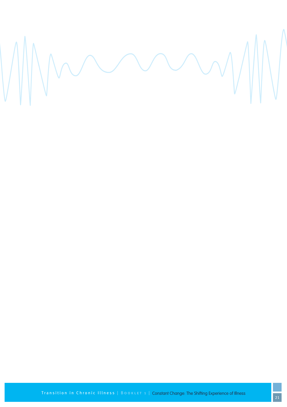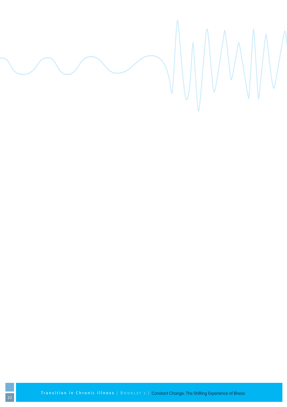

Transition in Chronic Illness | Booklet 1 | Constant Change: The Shifting Experience of Illness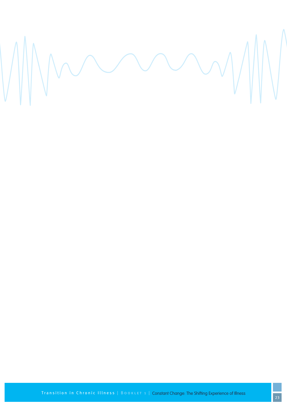